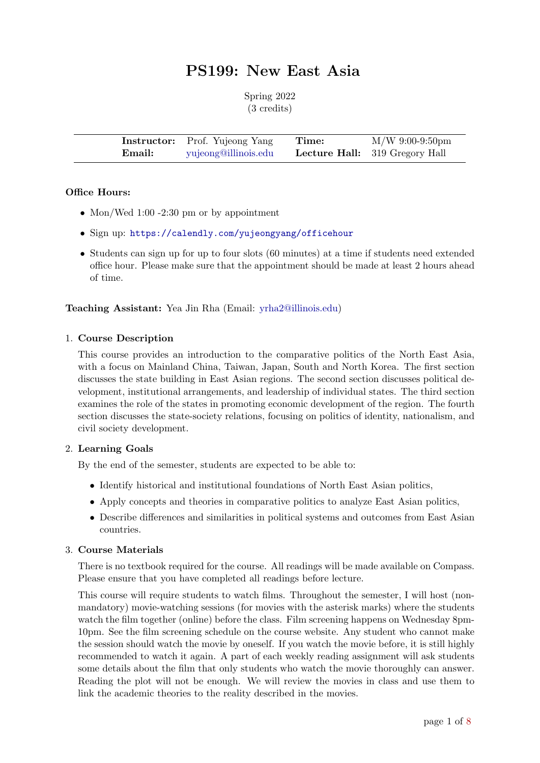# PS199: New East Asia

Spring 2022 (3 credits)

|        | <b>Instructor:</b> Prof. Yujeong Yang | Time: | $M/W$ 9:00-9:50pm                     |
|--------|---------------------------------------|-------|---------------------------------------|
| Email: | yujeong@illinois.edu                  |       | <b>Lecture Hall:</b> 319 Gregory Hall |

## Office Hours:

- Mon/Wed 1:00 -2:30 pm or by appointment
- Sign up: <https://calendly.com/yujeongyang/officehour>
- Students can sign up for up to four slots (60 minutes) at a time if students need extended office hour. Please make sure that the appointment should be made at least 2 hours ahead of time.

#### Teaching Assistant: Yea Jin Rha (Email: [yrha2@illinois.edu\)](mailto:yrha2@illinois.edu)

#### 1. Course Description

This course provides an introduction to the comparative politics of the North East Asia, with a focus on Mainland China, Taiwan, Japan, South and North Korea. The first section discusses the state building in East Asian regions. The second section discusses political development, institutional arrangements, and leadership of individual states. The third section examines the role of the states in promoting economic development of the region. The fourth section discusses the state-society relations, focusing on politics of identity, nationalism, and civil society development.

## 2. Learning Goals

By the end of the semester, students are expected to be able to:

- Identify historical and institutional foundations of North East Asian politics,
- Apply concepts and theories in comparative politics to analyze East Asian politics,
- Describe differences and similarities in political systems and outcomes from East Asian countries.

#### 3. Course Materials

There is no textbook required for the course. All readings will be made available on Compass. Please ensure that you have completed all readings before lecture.

This course will require students to watch films. Throughout the semester, I will host (nonmandatory) movie-watching sessions (for movies with the asterisk marks) where the students watch the film together (online) before the class. Film screening happens on Wednesday 8pm-10pm. See the film screening schedule on the course website. Any student who cannot make the session should watch the movie by oneself. If you watch the movie before, it is still highly recommended to watch it again. A part of each weekly reading assignment will ask students some details about the film that only students who watch the movie thoroughly can answer. Reading the plot will not be enough. We will review the movies in class and use them to link the academic theories to the reality described in the movies.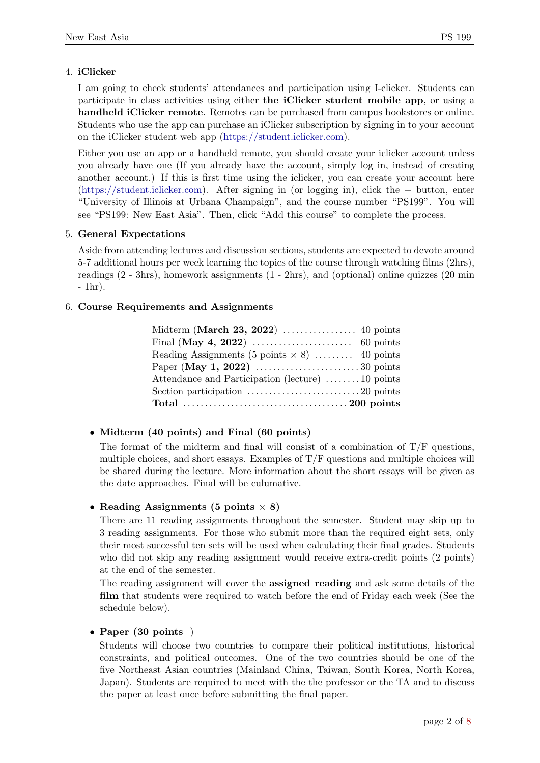# 4. iClicker

I am going to check students' attendances and participation using I-clicker. Students can participate in class activities using either the iClicker student mobile app, or using a handheld iClicker remote. Remotes can be purchased from campus bookstores or online. Students who use the app can purchase an iClicker subscription by signing in to your account on the iClicker student web app [\(https://student.iclicker.com\)](https://student.iclicker.com).

Either you use an app or a handheld remote, you should create your iclicker account unless you already have one (If you already have the account, simply log in, instead of creating another account.) If this is first time using the iclicker, you can create your account here [\(https://student.iclicker.com\)](https://student.iclicker.com). After signing in (or logging in), click the + button, enter "University of Illinois at Urbana Champaign", and the course number "PS199". You will see "PS199: New East Asia". Then, click "Add this course" to complete the process.

# 5. General Expectations

Aside from attending lectures and discussion sections, students are expected to devote around 5-7 additional hours per week learning the topics of the course through watching films (2hrs), readings (2 - 3hrs), homework assignments (1 - 2hrs), and (optional) online quizzes (20 min - 1hr).

# 6. Course Requirements and Assignments

| Reading Assignments (5 points $\times$ 8)  40 points |  |
|------------------------------------------------------|--|
|                                                      |  |
| Attendance and Participation (lecture) 10 points     |  |
|                                                      |  |
|                                                      |  |

# • Midterm (40 points) and Final (60 points)

The format of the midterm and final will consist of a combination of  $T/F$  questions, multiple choices, and short essays. Examples of  $T/F$  questions and multiple choices will be shared during the lecture. More information about the short essays will be given as the date approaches. Final will be culumative.

# • Reading Assignments (5 points  $\times$  8)

There are 11 reading assignments throughout the semester. Student may skip up to 3 reading assignments. For those who submit more than the required eight sets, only their most successful ten sets will be used when calculating their final grades. Students who did not skip any reading assignment would receive extra-credit points (2 points) at the end of the semester.

The reading assignment will cover the assigned reading and ask some details of the film that students were required to watch before the end of Friday each week (See the schedule below).

## • Paper (30 points)

Students will choose two countries to compare their political institutions, historical constraints, and political outcomes. One of the two countries should be one of the five Northeast Asian countries (Mainland China, Taiwan, South Korea, North Korea, Japan). Students are required to meet with the the professor or the TA and to discuss the paper at least once before submitting the final paper.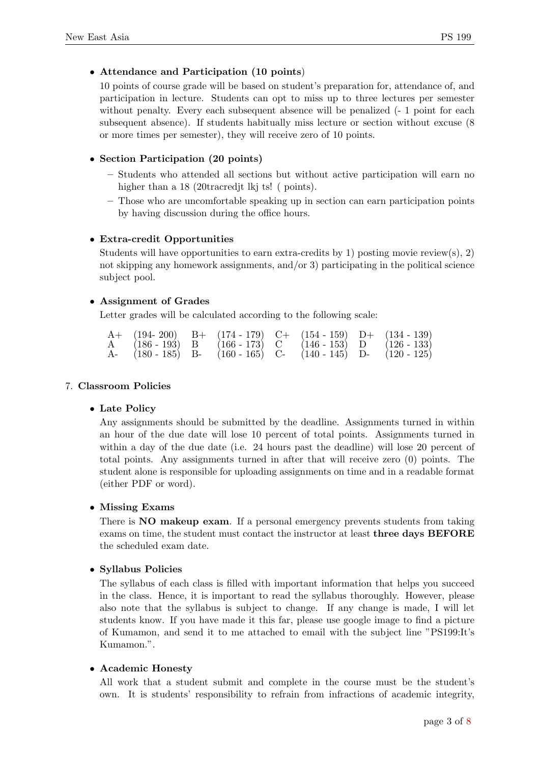# • Attendance and Participation (10 points)

10 points of course grade will be based on student's preparation for, attendance of, and participation in lecture. Students can opt to miss up to three lectures per semester without penalty. Every each subsequent absence will be penalized (- 1 point for each subsequent absence). If students habitually miss lecture or section without excuse (8 or more times per semester), they will receive zero of 10 points.

# • Section Participation (20 points)

- Students who attended all sections but without active participation will earn no higher than a 18 (20tracred it lkj ts! (points).
- Those who are uncomfortable speaking up in section can earn participation points by having discussion during the office hours.

# • Extra-credit Opportunities

Students will have opportunities to earn extra-credits by 1) posting movie review(s), 2) not skipping any homework assignments, and/or 3) participating in the political science subject pool.

# • Assignment of Grades

Letter grades will be calculated according to the following scale:

|  |  |  | $A+$ (194-200) B+ (174-179) C+ (154-159) D+ (134-139)               |
|--|--|--|---------------------------------------------------------------------|
|  |  |  | A $(186 - 193)$ B $(166 - 173)$ C $(146 - 153)$ D $(126 - 133)$     |
|  |  |  | A- $(180 - 185)$ B- $(160 - 165)$ C- $(140 - 145)$ D- $(120 - 125)$ |

#### 7. Classroom Policies

## • Late Policy

Any assignments should be submitted by the deadline. Assignments turned in within an hour of the due date will lose 10 percent of total points. Assignments turned in within a day of the due date (i.e. 24 hours past the deadline) will lose 20 percent of total points. Any assignments turned in after that will receive zero (0) points. The student alone is responsible for uploading assignments on time and in a readable format (either PDF or word).

## • Missing Exams

There is **NO** makeup exam. If a personal emergency prevents students from taking exams on time, the student must contact the instructor at least three days BEFORE the scheduled exam date.

## • Syllabus Policies

The syllabus of each class is filled with important information that helps you succeed in the class. Hence, it is important to read the syllabus thoroughly. However, please also note that the syllabus is subject to change. If any change is made, I will let students know. If you have made it this far, please use google image to find a picture of Kumamon, and send it to me attached to email with the subject line "PS199:It's Kumamon.".

## • Academic Honesty

All work that a student submit and complete in the course must be the student's own. It is students' responsibility to refrain from infractions of academic integrity,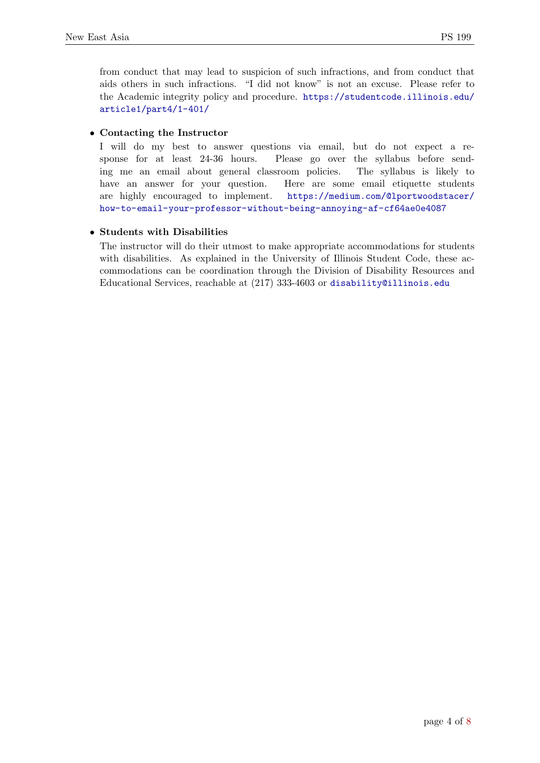from conduct that may lead to suspicion of such infractions, and from conduct that aids others in such infractions. "I did not know" is not an excuse. Please refer to the Academic integrity policy and procedure. [https://studentcode.illinois.edu/](https://studentcode.illinois.edu/article1/part4/1-401/) [article1/part4/1-401/](https://studentcode.illinois.edu/article1/part4/1-401/)

# • Contacting the Instructor

I will do my best to answer questions via email, but do not expect a response for at least 24-36 hours. Please go over the syllabus before sending me an email about general classroom policies. The syllabus is likely to have an answer for your question. Here are some email etiquette students are highly encouraged to implement. [https://medium.com/@lportwoodstacer/]( https://medium.com/@lportwoodstacer/how-to-email-your-professor-without-being-annoying-af-cf64ae0e4087) [how-to-email-your-professor-without-being-annoying-af-cf64ae0e4087]( https://medium.com/@lportwoodstacer/how-to-email-your-professor-without-being-annoying-af-cf64ae0e4087)

# • Students with Disabilities

The instructor will do their utmost to make appropriate accommodations for students with disabilities. As explained in the University of Illinois Student Code, these accommodations can be coordination through the Division of Disability Resources and Educational Services, reachable at (217) 333-4603 or <disability@illinois.edu>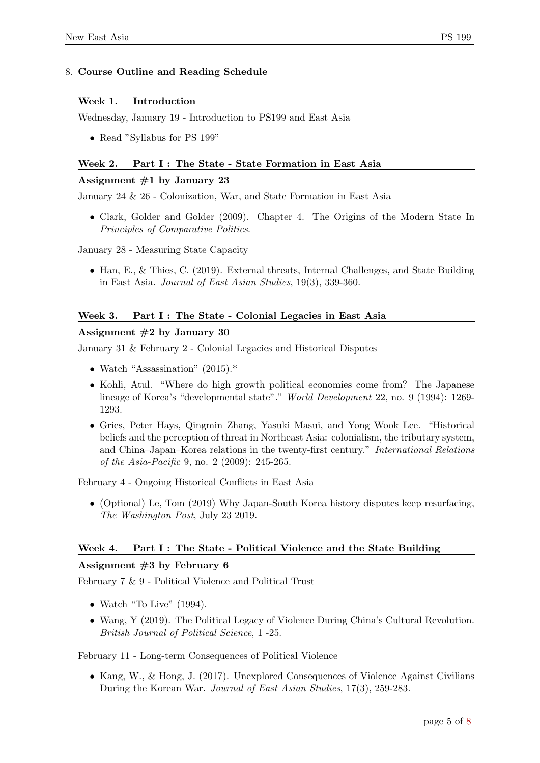# 8. Course Outline and Reading Schedule

## Week 1. Introduction

Wednesday, January 19 - Introduction to PS199 and East Asia

• Read "Syllabus for PS 199"

## Week 2. Part I : The State - State Formation in East Asia

## Assignment  $#1$  by January 23

January 24 & 26 - Colonization, War, and State Formation in East Asia

• Clark, Golder and Golder (2009). Chapter 4. The Origins of the Modern State In Principles of Comparative Politics.

January 28 - Measuring State Capacity

• Han, E., & Thies, C. (2019). External threats, Internal Challenges, and State Building in East Asia. Journal of East Asian Studies, 19(3), 339-360.

# Week 3. Part I : The State - Colonial Legacies in East Asia

# Assignment #2 by January 30

January 31 & February 2 - Colonial Legacies and Historical Disputes

- Watch "Assassination" (2015).\*
- Kohli, Atul. "Where do high growth political economies come from? The Japanese lineage of Korea's "developmental state"." World Development 22, no. 9 (1994): 1269- 1293.
- Gries, Peter Hays, Qingmin Zhang, Yasuki Masui, and Yong Wook Lee. "Historical beliefs and the perception of threat in Northeast Asia: colonialism, the tributary system, and China–Japan–Korea relations in the twenty-first century." International Relations of the Asia-Pacific 9, no. 2 (2009): 245-265.

February 4 - Ongoing Historical Conflicts in East Asia

• (Optional) Le, Tom (2019) Why Japan-South Korea history disputes keep resurfacing, The Washington Post, July 23 2019.

## Week 4. Part I: The State - Political Violence and the State Building

## Assignment #3 by February 6

February 7 & 9 - Political Violence and Political Trust

- Watch "To Live"  $(1994)$ .
- Wang, Y (2019). The Political Legacy of Violence During China's Cultural Revolution. British Journal of Political Science, 1 -25.

February 11 - Long-term Consequences of Political Violence

• Kang, W., & Hong, J. (2017). Unexplored Consequences of Violence Against Civilians During the Korean War. Journal of East Asian Studies, 17(3), 259-283.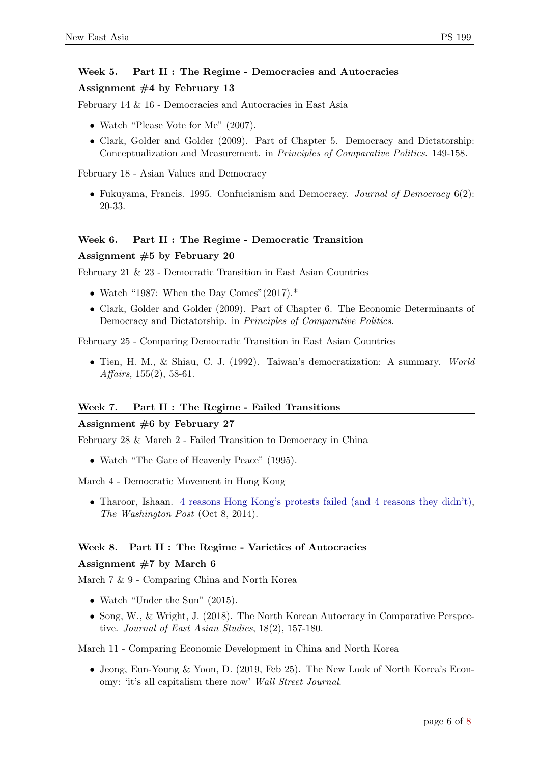## Week 5. Part II : The Regime - Democracies and Autocracies

#### Assignment #4 by February 13

February 14 & 16 - Democracies and Autocracies in East Asia

- Watch "Please Vote for Me" (2007).
- Clark, Golder and Golder (2009). Part of Chapter 5. Democracy and Dictatorship: Conceptualization and Measurement. in Principles of Comparative Politics. 149-158.

February 18 - Asian Values and Democracy

• Fukuyama, Francis. 1995. Confucianism and Democracy. *Journal of Democracy* 6(2): 20-33.

#### Week 6. Part II : The Regime - Democratic Transition

#### Assignment #5 by February 20

February 21 & 23 - Democratic Transition in East Asian Countries

- Watch "1987: When the Day Comes"  $(2017).$ \*
- Clark, Golder and Golder (2009). Part of Chapter 6. The Economic Determinants of Democracy and Dictatorship. in Principles of Comparative Politics.

February 25 - Comparing Democratic Transition in East Asian Countries

• Tien, H. M., & Shiau, C. J. (1992). Taiwan's democratization: A summary. World Affairs, 155(2), 58-61.

#### Week 7. Part II : The Regime - Failed Transitions

#### Assignment #6 by February 27

February 28 & March 2 - Failed Transition to Democracy in China

• Watch "The Gate of Heavenly Peace" (1995).

March 4 - Democratic Movement in Hong Kong

• Tharoor, Ishaan. [4 reasons Hong Kong's protests failed \(and 4 reasons they didn't\),](https://www.washingtonpost.com/news/worldviews/wp/2014/10/08/4-reasons-hong-kongs-protests-failed-and-4-reasons-they-didnt/) The Washington Post (Oct 8, 2014).

#### Week 8. Part II : The Regime - Varieties of Autocracies

## Assignment  $#7$  by March 6

March 7 & 9 - Comparing China and North Korea

- Watch "Under the Sun" (2015).
- Song, W., & Wright, J. (2018). The North Korean Autocracy in Comparative Perspective. Journal of East Asian Studies, 18(2), 157-180.

March 11 - Comparing Economic Development in China and North Korea

• Jeong, Eun-Young & Yoon, D. (2019, Feb 25). The New Look of North Korea's Economy: 'it's all capitalism there now' Wall Street Journal.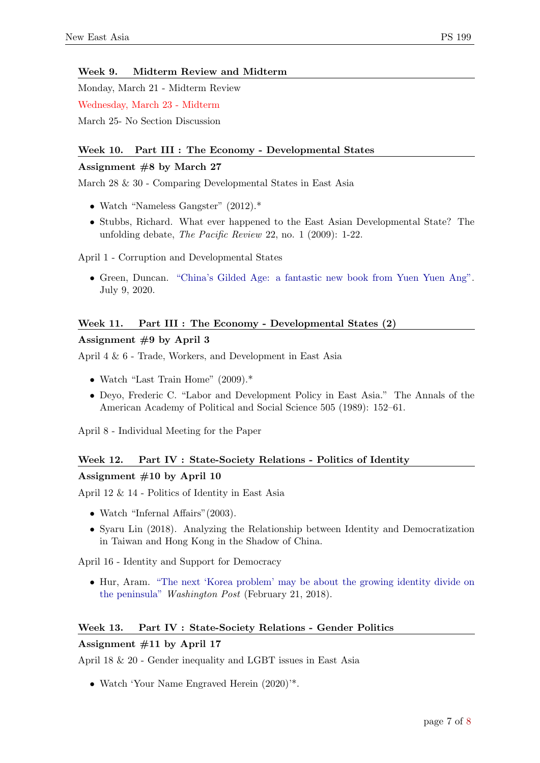## Week 9. Midterm Review and Midterm

Monday, March 21 - Midterm Review Wednesday, March 23 - Midterm

March 25- No Section Discussion

# Week 10. Part III : The Economy - Developmental States

# Assignment #8 by March 27

March 28 & 30 - Comparing Developmental States in East Asia

- Watch "Nameless Gangster" (2012).\*
- Stubbs, Richard. What ever happened to the East Asian Developmental State? The unfolding debate, The Pacific Review 22, no. 1 (2009): 1-22.

April 1 - Corruption and Developmental States

• Green, Duncan. ["China's Gilded Age: a fantastic new book from Yuen Yuen Ang".](https://oxfamapps.org/fp2p/chinas-gilded-age-a-fantastic-new-book-from-yuen-yuen-ang/) July 9, 2020.

# Week 11. Part III : The Economy - Developmental States (2)

# Assignment  $#9$  by April 3

April 4 & 6 - Trade, Workers, and Development in East Asia

- Watch "Last Train Home" (2009).\*
- Deyo, Frederic C. "Labor and Development Policy in East Asia." The Annals of the American Academy of Political and Social Science 505 (1989): 152–61.

April 8 - Individual Meeting for the Paper

## Week 12. Part IV : State-Society Relations - Politics of Identity

# Assignment #10 by April 10

April 12 & 14 - Politics of Identity in East Asia

- Watch "Infernal Affairs" (2003).
- Syaru Lin (2018). Analyzing the Relationship between Identity and Democratization in Taiwan and Hong Kong in the Shadow of China.

April 16 - Identity and Support for Democracy

• Hur, Aram. ["The next 'Korea problem' may be about the growing identity divide on](https://www.washingtonpost.com/news/monkey-cage/wp/2018/02/21/the-next-korea-problem-may-be-about-the-growing-identity-divide-on-the-korean-peninsula/) [the peninsula"](https://www.washingtonpost.com/news/monkey-cage/wp/2018/02/21/the-next-korea-problem-may-be-about-the-growing-identity-divide-on-the-korean-peninsula/) Washington Post (February 21, 2018).

# Week 13. Part IV : State-Society Relations - Gender Politics

## Assignment #11 by April 17

April 18 & 20 - Gender inequality and LGBT issues in East Asia

• Watch 'Your Name Engraved Herein  $(2020)$ '\*.